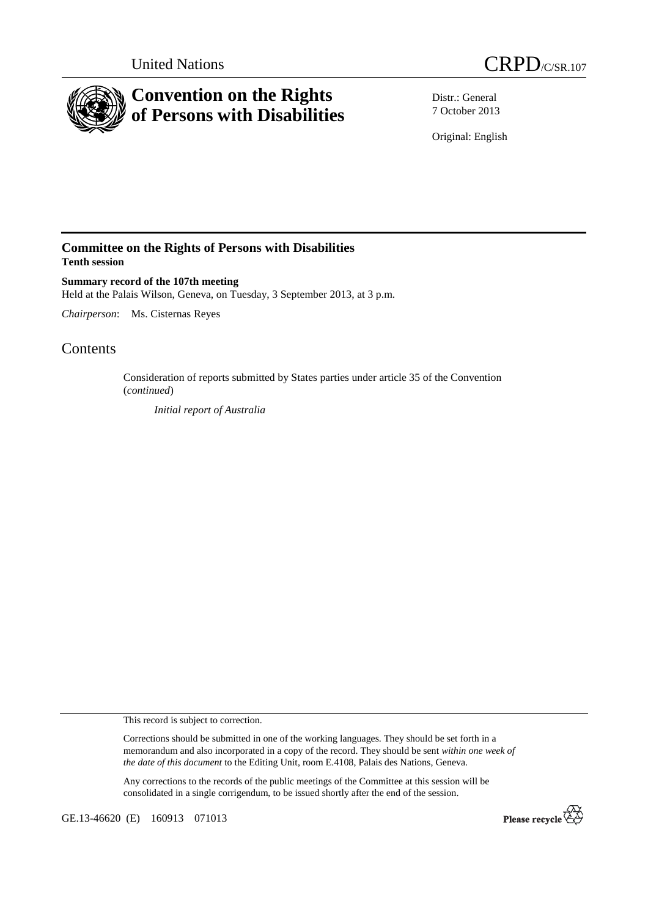



Distr.: General 7 October 2013

Original: English

## **Committee on the Rights of Persons with Disabilities Tenth session**

**Summary record of the 107th meeting**  Held at the Palais Wilson, Geneva, on Tuesday, 3 September 2013, at 3 p.m.

*Chairperson*: Ms. Cisternas Reyes

# **Contents**

Consideration of reports submitted by States parties under article 35 of the Convention (*continued*)

*Initial report of Australia* 

This record is subject to correction.

Corrections should be submitted in one of the working languages. They should be set forth in a memorandum and also incorporated in a copy of the record. They should be sent *within one week of the date of this document* to the Editing Unit, room E.4108, Palais des Nations, Geneva.

Any corrections to the records of the public meetings of the Committee at this session will be consolidated in a single corrigendum, to be issued shortly after the end of the session.

GE.13-46620 (E) 160913 071013

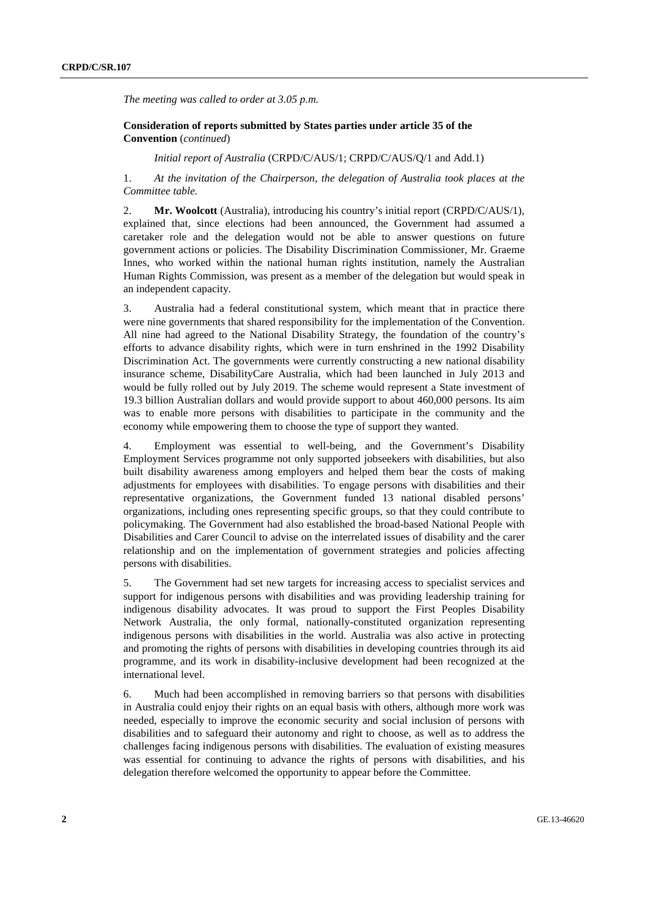*The meeting was called to order at 3.05 p.m.* 

### **Consideration of reports submitted by States parties under article 35 of the Convention** (*continued*)

 *Initial report of Australia* (CRPD/C/AUS/1; CRPD/C/AUS/Q/1 and Add.1)

1. *At the invitation of the Chairperson, the delegation of Australia took places at the Committee table.* 

2. **Mr. Woolcott** (Australia), introducing his country's initial report (CRPD/C/AUS/1), explained that, since elections had been announced, the Government had assumed a caretaker role and the delegation would not be able to answer questions on future government actions or policies. The Disability Discrimination Commissioner, Mr. Graeme Innes, who worked within the national human rights institution, namely the Australian Human Rights Commission, was present as a member of the delegation but would speak in an independent capacity.

3. Australia had a federal constitutional system, which meant that in practice there were nine governments that shared responsibility for the implementation of the Convention. All nine had agreed to the National Disability Strategy, the foundation of the country's efforts to advance disability rights, which were in turn enshrined in the 1992 Disability Discrimination Act. The governments were currently constructing a new national disability insurance scheme, DisabilityCare Australia, which had been launched in July 2013 and would be fully rolled out by July 2019. The scheme would represent a State investment of 19.3 billion Australian dollars and would provide support to about 460,000 persons. Its aim was to enable more persons with disabilities to participate in the community and the economy while empowering them to choose the type of support they wanted.

4. Employment was essential to well-being, and the Government's Disability Employment Services programme not only supported jobseekers with disabilities, but also built disability awareness among employers and helped them bear the costs of making adjustments for employees with disabilities. To engage persons with disabilities and their representative organizations, the Government funded 13 national disabled persons' organizations, including ones representing specific groups, so that they could contribute to policymaking. The Government had also established the broad-based National People with Disabilities and Carer Council to advise on the interrelated issues of disability and the carer relationship and on the implementation of government strategies and policies affecting persons with disabilities.

5. The Government had set new targets for increasing access to specialist services and support for indigenous persons with disabilities and was providing leadership training for indigenous disability advocates. It was proud to support the First Peoples Disability Network Australia, the only formal, nationally-constituted organization representing indigenous persons with disabilities in the world. Australia was also active in protecting and promoting the rights of persons with disabilities in developing countries through its aid programme, and its work in disability-inclusive development had been recognized at the international level.

6. Much had been accomplished in removing barriers so that persons with disabilities in Australia could enjoy their rights on an equal basis with others, although more work was needed, especially to improve the economic security and social inclusion of persons with disabilities and to safeguard their autonomy and right to choose, as well as to address the challenges facing indigenous persons with disabilities. The evaluation of existing measures was essential for continuing to advance the rights of persons with disabilities, and his delegation therefore welcomed the opportunity to appear before the Committee.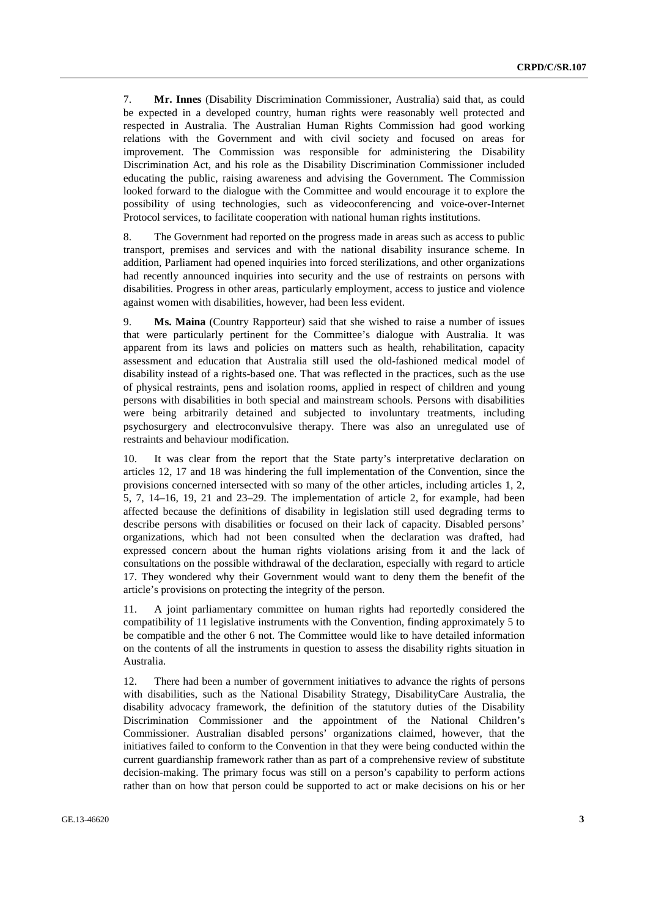7. **Mr. Innes** (Disability Discrimination Commissioner, Australia) said that, as could be expected in a developed country, human rights were reasonably well protected and respected in Australia. The Australian Human Rights Commission had good working relations with the Government and with civil society and focused on areas for improvement. The Commission was responsible for administering the Disability Discrimination Act, and his role as the Disability Discrimination Commissioner included educating the public, raising awareness and advising the Government. The Commission looked forward to the dialogue with the Committee and would encourage it to explore the possibility of using technologies, such as videoconferencing and voice-over-Internet Protocol services, to facilitate cooperation with national human rights institutions.

8. The Government had reported on the progress made in areas such as access to public transport, premises and services and with the national disability insurance scheme. In addition, Parliament had opened inquiries into forced sterilizations, and other organizations had recently announced inquiries into security and the use of restraints on persons with disabilities. Progress in other areas, particularly employment, access to justice and violence against women with disabilities, however, had been less evident.

9. **Ms. Maina** (Country Rapporteur) said that she wished to raise a number of issues that were particularly pertinent for the Committee's dialogue with Australia. It was apparent from its laws and policies on matters such as health, rehabilitation, capacity assessment and education that Australia still used the old-fashioned medical model of disability instead of a rights-based one. That was reflected in the practices, such as the use of physical restraints, pens and isolation rooms, applied in respect of children and young persons with disabilities in both special and mainstream schools. Persons with disabilities were being arbitrarily detained and subjected to involuntary treatments, including psychosurgery and electroconvulsive therapy. There was also an unregulated use of restraints and behaviour modification.

10. It was clear from the report that the State party's interpretative declaration on articles 12, 17 and 18 was hindering the full implementation of the Convention, since the provisions concerned intersected with so many of the other articles, including articles 1, 2, 5, 7, 14–16, 19, 21 and 23–29. The implementation of article 2, for example, had been affected because the definitions of disability in legislation still used degrading terms to describe persons with disabilities or focused on their lack of capacity. Disabled persons' organizations, which had not been consulted when the declaration was drafted, had expressed concern about the human rights violations arising from it and the lack of consultations on the possible withdrawal of the declaration, especially with regard to article 17. They wondered why their Government would want to deny them the benefit of the article's provisions on protecting the integrity of the person.

11. A joint parliamentary committee on human rights had reportedly considered the compatibility of 11 legislative instruments with the Convention, finding approximately 5 to be compatible and the other 6 not. The Committee would like to have detailed information on the contents of all the instruments in question to assess the disability rights situation in Australia.

12. There had been a number of government initiatives to advance the rights of persons with disabilities, such as the National Disability Strategy, DisabilityCare Australia, the disability advocacy framework, the definition of the statutory duties of the Disability Discrimination Commissioner and the appointment of the National Children's Commissioner. Australian disabled persons' organizations claimed, however, that the initiatives failed to conform to the Convention in that they were being conducted within the current guardianship framework rather than as part of a comprehensive review of substitute decision-making. The primary focus was still on a person's capability to perform actions rather than on how that person could be supported to act or make decisions on his or her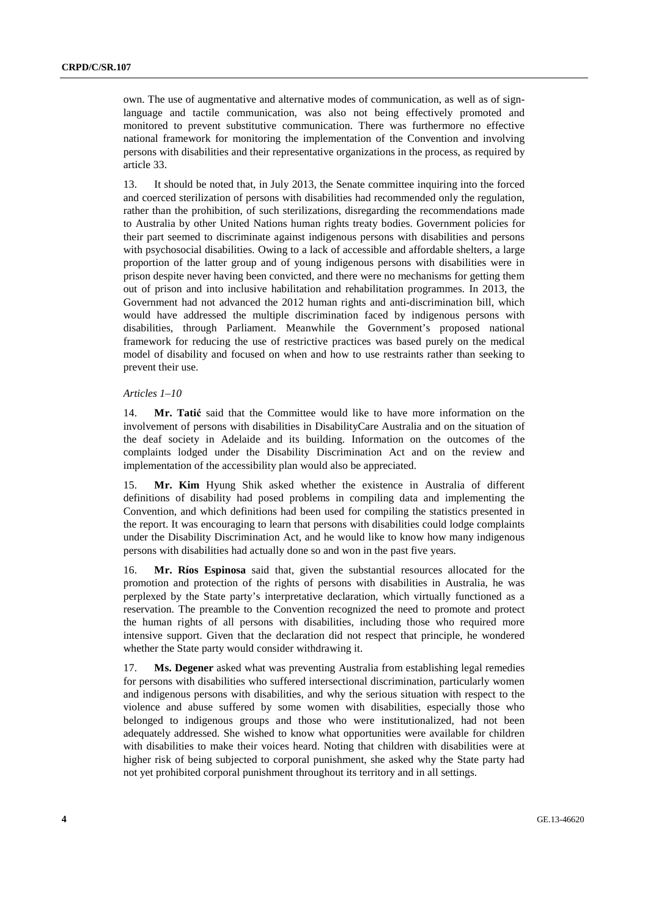own. The use of augmentative and alternative modes of communication, as well as of signlanguage and tactile communication, was also not being effectively promoted and monitored to prevent substitutive communication. There was furthermore no effective national framework for monitoring the implementation of the Convention and involving persons with disabilities and their representative organizations in the process, as required by article 33.

13. It should be noted that, in July 2013, the Senate committee inquiring into the forced and coerced sterilization of persons with disabilities had recommended only the regulation, rather than the prohibition, of such sterilizations, disregarding the recommendations made to Australia by other United Nations human rights treaty bodies. Government policies for their part seemed to discriminate against indigenous persons with disabilities and persons with psychosocial disabilities. Owing to a lack of accessible and affordable shelters, a large proportion of the latter group and of young indigenous persons with disabilities were in prison despite never having been convicted, and there were no mechanisms for getting them out of prison and into inclusive habilitation and rehabilitation programmes. In 2013, the Government had not advanced the 2012 human rights and anti-discrimination bill, which would have addressed the multiple discrimination faced by indigenous persons with disabilities, through Parliament. Meanwhile the Government's proposed national framework for reducing the use of restrictive practices was based purely on the medical model of disability and focused on when and how to use restraints rather than seeking to prevent their use.

#### *Articles 1–10*

14. **Mr. Tatić** said that the Committee would like to have more information on the involvement of persons with disabilities in DisabilityCare Australia and on the situation of the deaf society in Adelaide and its building. Information on the outcomes of the complaints lodged under the Disability Discrimination Act and on the review and implementation of the accessibility plan would also be appreciated.

15. **Mr. Kim** Hyung Shik asked whether the existence in Australia of different definitions of disability had posed problems in compiling data and implementing the Convention, and which definitions had been used for compiling the statistics presented in the report. It was encouraging to learn that persons with disabilities could lodge complaints under the Disability Discrimination Act, and he would like to know how many indigenous persons with disabilities had actually done so and won in the past five years.

16. **Mr. Ríos Espinosa** said that, given the substantial resources allocated for the promotion and protection of the rights of persons with disabilities in Australia, he was perplexed by the State party's interpretative declaration, which virtually functioned as a reservation. The preamble to the Convention recognized the need to promote and protect the human rights of all persons with disabilities, including those who required more intensive support. Given that the declaration did not respect that principle, he wondered whether the State party would consider withdrawing it.

17. **Ms. Degener** asked what was preventing Australia from establishing legal remedies for persons with disabilities who suffered intersectional discrimination, particularly women and indigenous persons with disabilities, and why the serious situation with respect to the violence and abuse suffered by some women with disabilities, especially those who belonged to indigenous groups and those who were institutionalized, had not been adequately addressed. She wished to know what opportunities were available for children with disabilities to make their voices heard. Noting that children with disabilities were at higher risk of being subjected to corporal punishment, she asked why the State party had not yet prohibited corporal punishment throughout its territory and in all settings.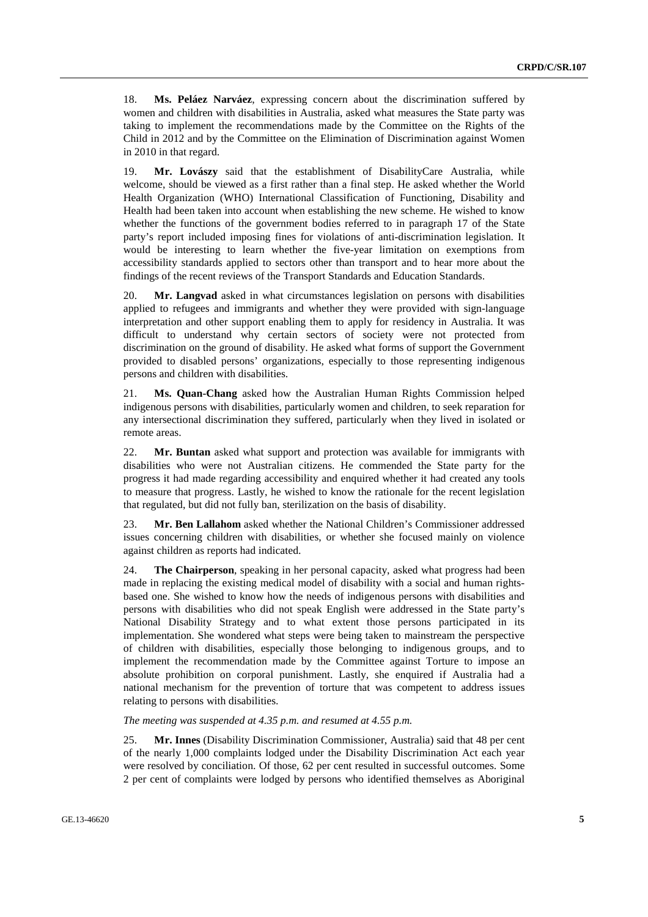18. **Ms. Peláez Narváez**, expressing concern about the discrimination suffered by women and children with disabilities in Australia, asked what measures the State party was taking to implement the recommendations made by the Committee on the Rights of the Child in 2012 and by the Committee on the Elimination of Discrimination against Women in 2010 in that regard.

19. **Mr. Lovászy** said that the establishment of DisabilityCare Australia, while welcome, should be viewed as a first rather than a final step. He asked whether the World Health Organization (WHO) International Classification of Functioning, Disability and Health had been taken into account when establishing the new scheme. He wished to know whether the functions of the government bodies referred to in paragraph 17 of the State party's report included imposing fines for violations of anti-discrimination legislation. It would be interesting to learn whether the five-year limitation on exemptions from accessibility standards applied to sectors other than transport and to hear more about the findings of the recent reviews of the Transport Standards and Education Standards.

20. **Mr. Langvad** asked in what circumstances legislation on persons with disabilities applied to refugees and immigrants and whether they were provided with sign-language interpretation and other support enabling them to apply for residency in Australia. It was difficult to understand why certain sectors of society were not protected from discrimination on the ground of disability. He asked what forms of support the Government provided to disabled persons' organizations, especially to those representing indigenous persons and children with disabilities.

21. **Ms. Quan-Chang** asked how the Australian Human Rights Commission helped indigenous persons with disabilities, particularly women and children, to seek reparation for any intersectional discrimination they suffered, particularly when they lived in isolated or remote areas.

22. **Mr. Buntan** asked what support and protection was available for immigrants with disabilities who were not Australian citizens. He commended the State party for the progress it had made regarding accessibility and enquired whether it had created any tools to measure that progress. Lastly, he wished to know the rationale for the recent legislation that regulated, but did not fully ban, sterilization on the basis of disability.

23. **Mr. Ben Lallahom** asked whether the National Children's Commissioner addressed issues concerning children with disabilities, or whether she focused mainly on violence against children as reports had indicated.

24. **The Chairperson**, speaking in her personal capacity, asked what progress had been made in replacing the existing medical model of disability with a social and human rightsbased one. She wished to know how the needs of indigenous persons with disabilities and persons with disabilities who did not speak English were addressed in the State party's National Disability Strategy and to what extent those persons participated in its implementation. She wondered what steps were being taken to mainstream the perspective of children with disabilities, especially those belonging to indigenous groups, and to implement the recommendation made by the Committee against Torture to impose an absolute prohibition on corporal punishment. Lastly, she enquired if Australia had a national mechanism for the prevention of torture that was competent to address issues relating to persons with disabilities.

*The meeting was suspended at 4.35 p.m. and resumed at 4.55 p.m.* 

25. **Mr. Innes** (Disability Discrimination Commissioner, Australia) said that 48 per cent of the nearly 1,000 complaints lodged under the Disability Discrimination Act each year were resolved by conciliation. Of those, 62 per cent resulted in successful outcomes. Some 2 per cent of complaints were lodged by persons who identified themselves as Aboriginal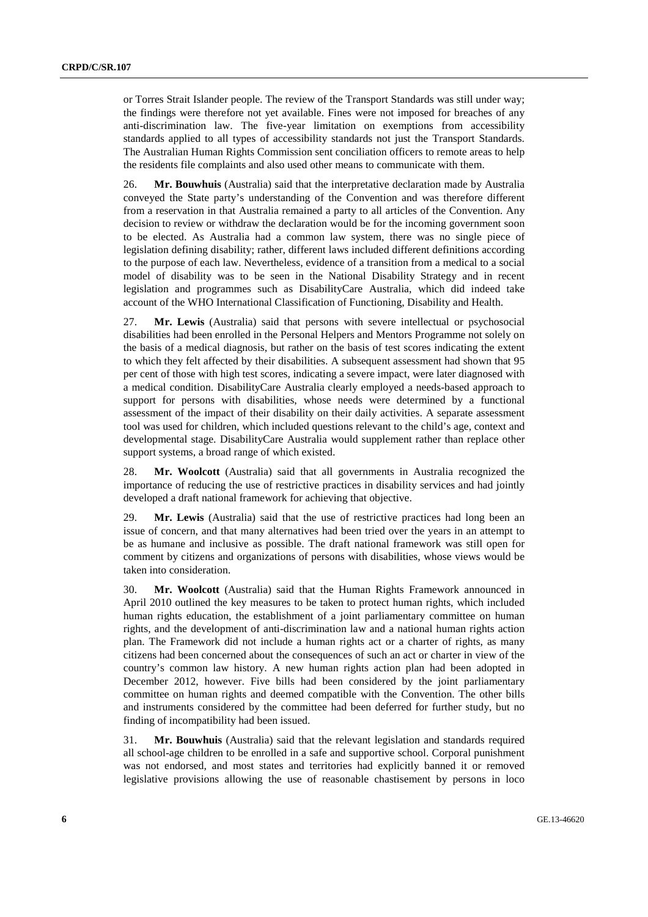or Torres Strait Islander people. The review of the Transport Standards was still under way; the findings were therefore not yet available. Fines were not imposed for breaches of any anti-discrimination law. The five-year limitation on exemptions from accessibility standards applied to all types of accessibility standards not just the Transport Standards. The Australian Human Rights Commission sent conciliation officers to remote areas to help the residents file complaints and also used other means to communicate with them.

26. **Mr. Bouwhuis** (Australia) said that the interpretative declaration made by Australia conveyed the State party's understanding of the Convention and was therefore different from a reservation in that Australia remained a party to all articles of the Convention. Any decision to review or withdraw the declaration would be for the incoming government soon to be elected. As Australia had a common law system, there was no single piece of legislation defining disability; rather, different laws included different definitions according to the purpose of each law. Nevertheless, evidence of a transition from a medical to a social model of disability was to be seen in the National Disability Strategy and in recent legislation and programmes such as DisabilityCare Australia, which did indeed take account of the WHO International Classification of Functioning, Disability and Health.

27. **Mr. Lewis** (Australia) said that persons with severe intellectual or psychosocial disabilities had been enrolled in the Personal Helpers and Mentors Programme not solely on the basis of a medical diagnosis, but rather on the basis of test scores indicating the extent to which they felt affected by their disabilities. A subsequent assessment had shown that 95 per cent of those with high test scores, indicating a severe impact, were later diagnosed with a medical condition. DisabilityCare Australia clearly employed a needs-based approach to support for persons with disabilities, whose needs were determined by a functional assessment of the impact of their disability on their daily activities. A separate assessment tool was used for children, which included questions relevant to the child's age, context and developmental stage. DisabilityCare Australia would supplement rather than replace other support systems, a broad range of which existed.

28. **Mr. Woolcott** (Australia) said that all governments in Australia recognized the importance of reducing the use of restrictive practices in disability services and had jointly developed a draft national framework for achieving that objective.

29. **Mr. Lewis** (Australia) said that the use of restrictive practices had long been an issue of concern, and that many alternatives had been tried over the years in an attempt to be as humane and inclusive as possible. The draft national framework was still open for comment by citizens and organizations of persons with disabilities, whose views would be taken into consideration.

30. **Mr. Woolcott** (Australia) said that the Human Rights Framework announced in April 2010 outlined the key measures to be taken to protect human rights, which included human rights education, the establishment of a joint parliamentary committee on human rights, and the development of anti-discrimination law and a national human rights action plan. The Framework did not include a human rights act or a charter of rights, as many citizens had been concerned about the consequences of such an act or charter in view of the country's common law history. A new human rights action plan had been adopted in December 2012, however. Five bills had been considered by the joint parliamentary committee on human rights and deemed compatible with the Convention. The other bills and instruments considered by the committee had been deferred for further study, but no finding of incompatibility had been issued.

31. **Mr. Bouwhuis** (Australia) said that the relevant legislation and standards required all school-age children to be enrolled in a safe and supportive school. Corporal punishment was not endorsed, and most states and territories had explicitly banned it or removed legislative provisions allowing the use of reasonable chastisement by persons in loco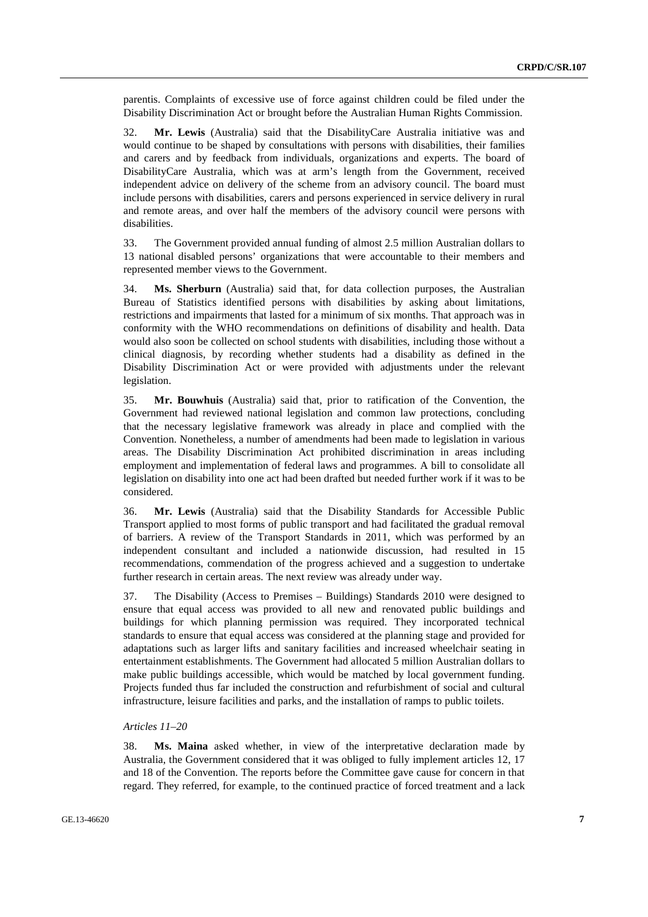parentis. Complaints of excessive use of force against children could be filed under the Disability Discrimination Act or brought before the Australian Human Rights Commission.

32. **Mr. Lewis** (Australia) said that the DisabilityCare Australia initiative was and would continue to be shaped by consultations with persons with disabilities, their families and carers and by feedback from individuals, organizations and experts. The board of DisabilityCare Australia, which was at arm's length from the Government, received independent advice on delivery of the scheme from an advisory council. The board must include persons with disabilities, carers and persons experienced in service delivery in rural and remote areas, and over half the members of the advisory council were persons with disabilities.

33. The Government provided annual funding of almost 2.5 million Australian dollars to 13 national disabled persons' organizations that were accountable to their members and represented member views to the Government.

34. **Ms. Sherburn** (Australia) said that, for data collection purposes, the Australian Bureau of Statistics identified persons with disabilities by asking about limitations, restrictions and impairments that lasted for a minimum of six months. That approach was in conformity with the WHO recommendations on definitions of disability and health. Data would also soon be collected on school students with disabilities, including those without a clinical diagnosis, by recording whether students had a disability as defined in the Disability Discrimination Act or were provided with adjustments under the relevant legislation.

35. **Mr. Bouwhuis** (Australia) said that, prior to ratification of the Convention, the Government had reviewed national legislation and common law protections, concluding that the necessary legislative framework was already in place and complied with the Convention. Nonetheless, a number of amendments had been made to legislation in various areas. The Disability Discrimination Act prohibited discrimination in areas including employment and implementation of federal laws and programmes. A bill to consolidate all legislation on disability into one act had been drafted but needed further work if it was to be considered.

36. **Mr. Lewis** (Australia) said that the Disability Standards for Accessible Public Transport applied to most forms of public transport and had facilitated the gradual removal of barriers. A review of the Transport Standards in 2011, which was performed by an independent consultant and included a nationwide discussion, had resulted in 15 recommendations, commendation of the progress achieved and a suggestion to undertake further research in certain areas. The next review was already under way.

37. The Disability (Access to Premises – Buildings) Standards 2010 were designed to ensure that equal access was provided to all new and renovated public buildings and buildings for which planning permission was required. They incorporated technical standards to ensure that equal access was considered at the planning stage and provided for adaptations such as larger lifts and sanitary facilities and increased wheelchair seating in entertainment establishments. The Government had allocated 5 million Australian dollars to make public buildings accessible, which would be matched by local government funding. Projects funded thus far included the construction and refurbishment of social and cultural infrastructure, leisure facilities and parks, and the installation of ramps to public toilets.

### *Articles 11–20*

38. **Ms. Maina** asked whether, in view of the interpretative declaration made by Australia, the Government considered that it was obliged to fully implement articles 12, 17 and 18 of the Convention. The reports before the Committee gave cause for concern in that regard. They referred, for example, to the continued practice of forced treatment and a lack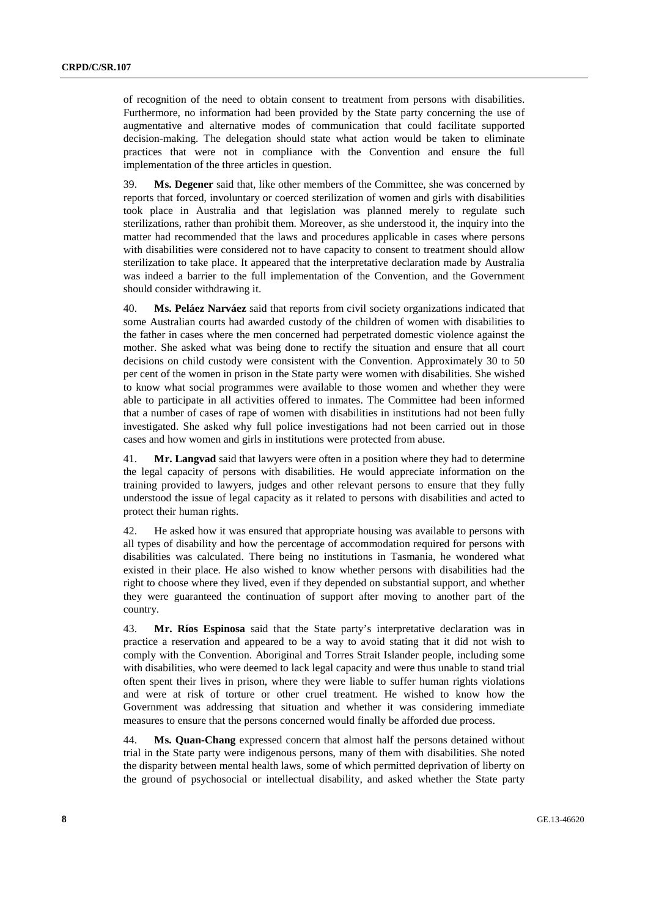of recognition of the need to obtain consent to treatment from persons with disabilities. Furthermore, no information had been provided by the State party concerning the use of augmentative and alternative modes of communication that could facilitate supported decision-making. The delegation should state what action would be taken to eliminate practices that were not in compliance with the Convention and ensure the full implementation of the three articles in question.

39. **Ms. Degener** said that, like other members of the Committee, she was concerned by reports that forced, involuntary or coerced sterilization of women and girls with disabilities took place in Australia and that legislation was planned merely to regulate such sterilizations, rather than prohibit them. Moreover, as she understood it, the inquiry into the matter had recommended that the laws and procedures applicable in cases where persons with disabilities were considered not to have capacity to consent to treatment should allow sterilization to take place. It appeared that the interpretative declaration made by Australia was indeed a barrier to the full implementation of the Convention, and the Government should consider withdrawing it.

40. **Ms. Peláez Narváez** said that reports from civil society organizations indicated that some Australian courts had awarded custody of the children of women with disabilities to the father in cases where the men concerned had perpetrated domestic violence against the mother. She asked what was being done to rectify the situation and ensure that all court decisions on child custody were consistent with the Convention. Approximately 30 to 50 per cent of the women in prison in the State party were women with disabilities. She wished to know what social programmes were available to those women and whether they were able to participate in all activities offered to inmates. The Committee had been informed that a number of cases of rape of women with disabilities in institutions had not been fully investigated. She asked why full police investigations had not been carried out in those cases and how women and girls in institutions were protected from abuse.

41. **Mr. Langvad** said that lawyers were often in a position where they had to determine the legal capacity of persons with disabilities. He would appreciate information on the training provided to lawyers, judges and other relevant persons to ensure that they fully understood the issue of legal capacity as it related to persons with disabilities and acted to protect their human rights.

42. He asked how it was ensured that appropriate housing was available to persons with all types of disability and how the percentage of accommodation required for persons with disabilities was calculated. There being no institutions in Tasmania, he wondered what existed in their place. He also wished to know whether persons with disabilities had the right to choose where they lived, even if they depended on substantial support, and whether they were guaranteed the continuation of support after moving to another part of the country.

43. **Mr. Ríos Espinosa** said that the State party's interpretative declaration was in practice a reservation and appeared to be a way to avoid stating that it did not wish to comply with the Convention. Aboriginal and Torres Strait Islander people, including some with disabilities, who were deemed to lack legal capacity and were thus unable to stand trial often spent their lives in prison, where they were liable to suffer human rights violations and were at risk of torture or other cruel treatment. He wished to know how the Government was addressing that situation and whether it was considering immediate measures to ensure that the persons concerned would finally be afforded due process.

44. **Ms. Quan-Chang** expressed concern that almost half the persons detained without trial in the State party were indigenous persons, many of them with disabilities. She noted the disparity between mental health laws, some of which permitted deprivation of liberty on the ground of psychosocial or intellectual disability, and asked whether the State party